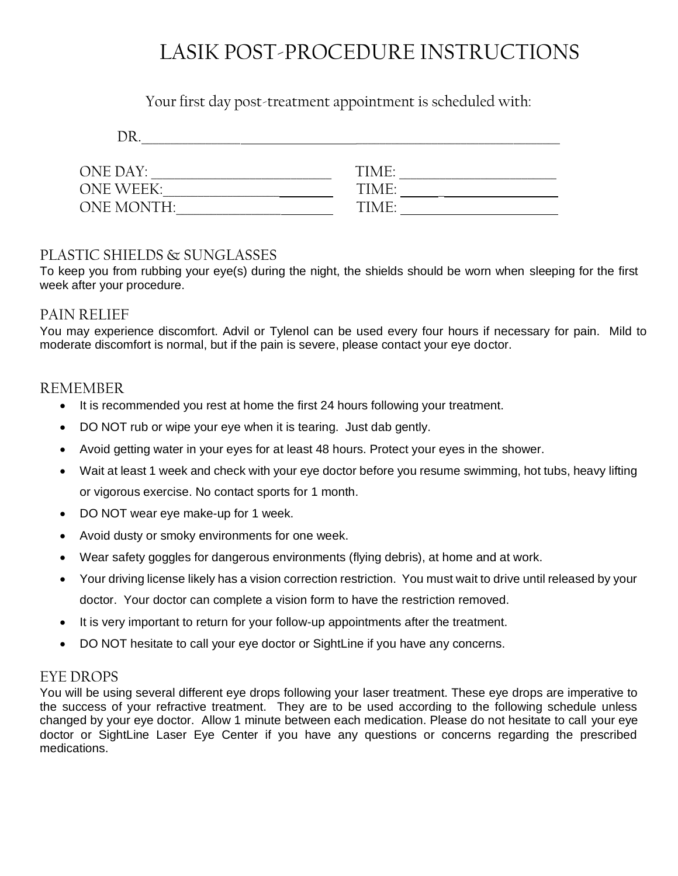## LASIK POST-PROCEDURE INSTRUCTIONS

#### Your first day post-treatment appointment is scheduled with:

| ONE DAY:   | TIME: |  |
|------------|-------|--|
| ONE WFFK:  | TIME: |  |
| ONE MONTH: | TIME: |  |
|            |       |  |

#### PLASTIC SHIELDS & SUNGLASSES

To keep you from rubbing your eye(s) during the night, the shields should be worn when sleeping for the first week after your procedure.

#### PAIN RELIEF

You may experience discomfort. Advil or Tylenol can be used every four hours if necessary for pain. Mild to moderate discomfort is normal, but if the pain is severe, please contact your eye doctor.

#### REMEMBER

- It is recommended you rest at home the first 24 hours following your treatment.
- DO NOT rub or wipe your eye when it is tearing. Just dab gently.
- Avoid getting water in your eyes for at least 48 hours. Protect your eyes in the shower.
- Wait at least 1 week and check with your eye doctor before you resume swimming, hot tubs, heavy lifting or vigorous exercise. No contact sports for 1 month.
- DO NOT wear eye make-up for 1 week.
- Avoid dusty or smoky environments for one week.
- Wear safety goggles for dangerous environments (flying debris), at home and at work.
- Your driving license likely has a vision correction restriction. You must wait to drive until released by your doctor. Your doctor can complete a vision form to have the restriction removed.
- It is very important to return for your follow-up appointments after the treatment.
- DO NOT hesitate to call your eye doctor or SightLine if you have any concerns.

#### EYE DROPS

You will be using several different eye drops following your laser treatment. These eye drops are imperative to the success of your refractive treatment. They are to be used according to the following schedule unless changed by your eye doctor. Allow 1 minute between each medication. Please do not hesitate to call your eye doctor or SightLine Laser Eye Center if you have any questions or concerns regarding the prescribed medications.